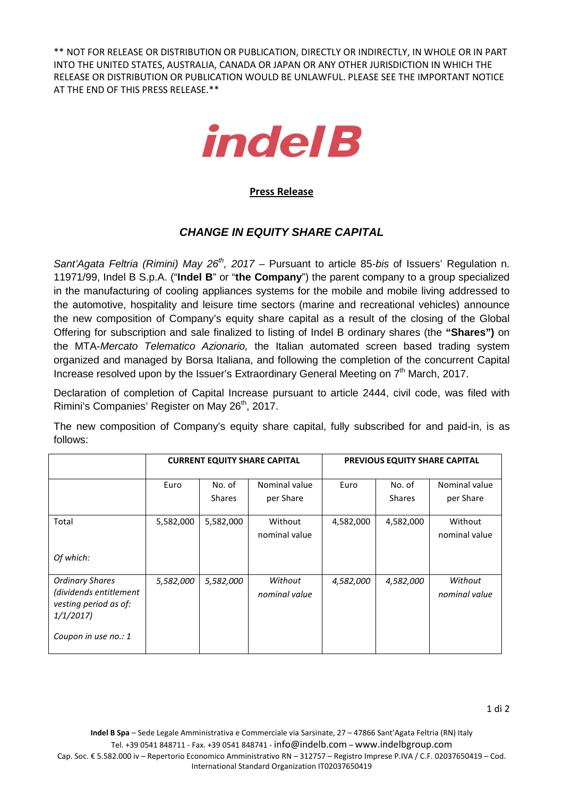\*\* NOT FOR RELEASE OR DISTRIBUTION OR PUBLICATION, DIRECTLY OR INDIRECTLY, IN WHOLE OR IN PART INTO THE UNITED STATES, AUSTRALIA, CANADA OR JAPAN OR ANY OTHER JURISDICTION IN WHICH THE RELEASE OR DISTRIBUTION OR PUBLICATION WOULD BE UNLAWFUL. PLEASE SEE THE IMPORTANT NOTICE AT THE END OF THIS PRESS RELEASE.\*\*



## **Press Release**

## **CHANGE IN EQUITY SHARE CAPITAL**

Sant'Agata Feltria (Rimini) May 26<sup>th</sup>, 2017 – Pursuant to article 85-bis of Issuers' Regulation n. 11971/99, Indel B S.p.A. ("**Indel B**" or "**the Company**") the parent company to a group specialized in the manufacturing of cooling appliances systems for the mobile and mobile living addressed to the automotive, hospitality and leisure time sectors (marine and recreational vehicles) announce the new composition of Company's equity share capital as a result of the closing of the Global Offering for subscription and sale finalized to listing of Indel B ordinary shares (the **"Shares")** on the MTA-Mercato Telematico Azionario, the Italian automated screen based trading system organized and managed by Borsa Italiana, and following the completion of the concurrent Capital Increase resolved upon by the Issuer's Extraordinary General Meeting on  $7<sup>th</sup>$  March, 2017.

Declaration of completion of Capital Increase pursuant to article 2444, civil code, was filed with Rimini's Companies' Register on May 26<sup>th</sup>, 2017.

The new composition of Company's equity share capital, fully subscribed for and paid-in, is as follows:

|                                                                                                               | <b>CURRENT EQUITY SHARE CAPITAL</b> |                         |                            | PREVIOUS EQUITY SHARE CAPITAL |                         |                            |
|---------------------------------------------------------------------------------------------------------------|-------------------------------------|-------------------------|----------------------------|-------------------------------|-------------------------|----------------------------|
|                                                                                                               | Euro                                | No. of<br><b>Shares</b> | Nominal value<br>per Share | Euro                          | No. of<br><b>Shares</b> | Nominal value<br>per Share |
| Total                                                                                                         | 5,582,000                           | 5,582,000               | Without<br>nominal value   | 4,582,000                     | 4,582,000               | Without<br>nominal value   |
| Of which:                                                                                                     |                                     |                         |                            |                               |                         |                            |
| <b>Ordinary Shares</b><br>(dividends entitlement<br>vesting period as of:<br>1/1/2017<br>Coupon in use no.: 1 | 5,582,000                           | 5,582,000               | Without<br>nominal value   | 4,582,000                     | 4,582,000               | Without<br>nominal value   |